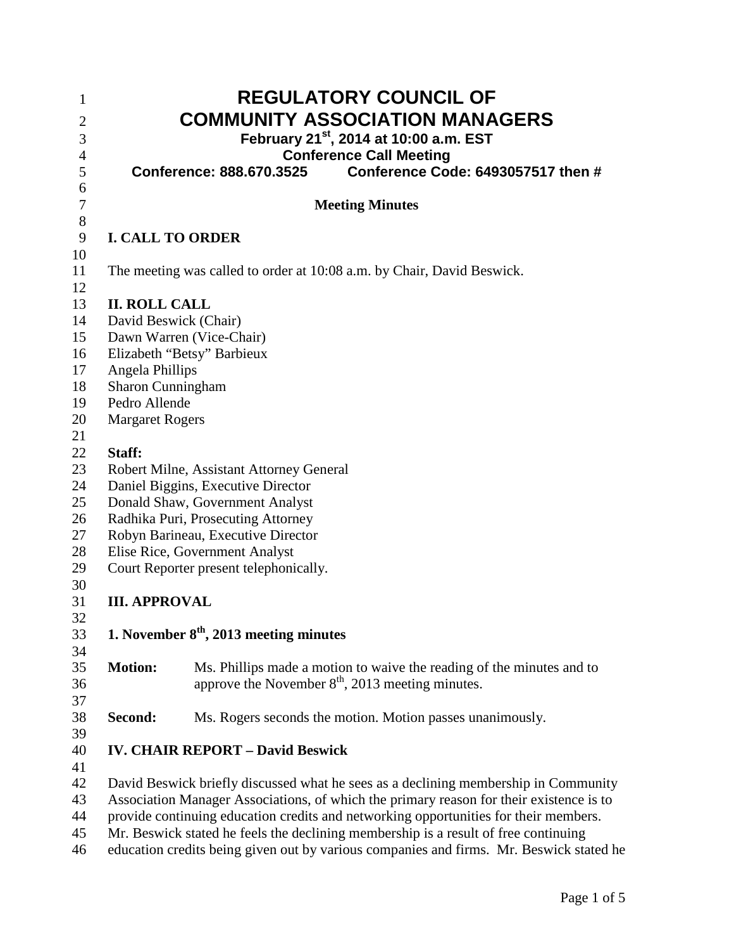| $\mathbf{1}$<br>$\overline{c}$<br>$\mathfrak{Z}$ |                                                                                         | <b>REGULATORY COUNCIL OF</b><br><b>COMMUNITY ASSOCIATION MANAGERS</b><br>February 21 <sup>st</sup> , 2014 at 10:00 a.m. EST |  |
|--------------------------------------------------|-----------------------------------------------------------------------------------------|-----------------------------------------------------------------------------------------------------------------------------|--|
| 4                                                |                                                                                         | <b>Conference Call Meeting</b>                                                                                              |  |
| 5                                                |                                                                                         | Conference Code: 6493057517 then #<br>Conference: 888.670.3525                                                              |  |
| 6<br>7                                           |                                                                                         | <b>Meeting Minutes</b>                                                                                                      |  |
| $8\,$<br>9                                       |                                                                                         | <b>I. CALL TO ORDER</b>                                                                                                     |  |
| 10                                               |                                                                                         |                                                                                                                             |  |
| 11<br>12                                         |                                                                                         | The meeting was called to order at 10:08 a.m. by Chair, David Beswick.                                                      |  |
| 13                                               | <b>II. ROLL CALL</b>                                                                    |                                                                                                                             |  |
| 14                                               | David Beswick (Chair)                                                                   |                                                                                                                             |  |
| 15                                               |                                                                                         | Dawn Warren (Vice-Chair)                                                                                                    |  |
| 16                                               | Elizabeth "Betsy" Barbieux                                                              |                                                                                                                             |  |
| 17                                               | Angela Phillips                                                                         |                                                                                                                             |  |
| 18                                               | Sharon Cunningham                                                                       |                                                                                                                             |  |
| 19                                               | Pedro Allende                                                                           |                                                                                                                             |  |
| 20                                               | <b>Margaret Rogers</b>                                                                  |                                                                                                                             |  |
| 21                                               |                                                                                         |                                                                                                                             |  |
| 22                                               | Staff:                                                                                  |                                                                                                                             |  |
| 23                                               | Robert Milne, Assistant Attorney General                                                |                                                                                                                             |  |
| 24                                               | Daniel Biggins, Executive Director                                                      |                                                                                                                             |  |
| 25                                               | Donald Shaw, Government Analyst                                                         |                                                                                                                             |  |
| 26                                               | Radhika Puri, Prosecuting Attorney                                                      |                                                                                                                             |  |
| 27                                               | Robyn Barineau, Executive Director                                                      |                                                                                                                             |  |
| 28                                               | Elise Rice, Government Analyst                                                          |                                                                                                                             |  |
| 29                                               |                                                                                         | Court Reporter present telephonically.                                                                                      |  |
| 30                                               |                                                                                         |                                                                                                                             |  |
| 31                                               | <b>III. APPROVAL</b>                                                                    |                                                                                                                             |  |
| 32                                               |                                                                                         |                                                                                                                             |  |
| 33                                               |                                                                                         | 1. November $8th$ , 2013 meeting minutes                                                                                    |  |
| 34                                               |                                                                                         |                                                                                                                             |  |
| 35                                               | <b>Motion:</b>                                                                          | Ms. Phillips made a motion to waive the reading of the minutes and to                                                       |  |
| 36                                               |                                                                                         | approve the November $8th$ , 2013 meeting minutes.                                                                          |  |
| 37                                               |                                                                                         |                                                                                                                             |  |
| 38<br>39                                         | Second:                                                                                 | Ms. Rogers seconds the motion. Motion passes unanimously.                                                                   |  |
| 40                                               |                                                                                         | <b>IV. CHAIR REPORT - David Beswick</b>                                                                                     |  |
| 41                                               |                                                                                         |                                                                                                                             |  |
| 42                                               | David Beswick briefly discussed what he sees as a declining membership in Community     |                                                                                                                             |  |
| 43                                               | Association Manager Associations, of which the primary reason for their existence is to |                                                                                                                             |  |
| 44                                               | provide continuing education credits and networking opportunities for their members.    |                                                                                                                             |  |
| 45                                               | Mr. Beswick stated he feels the declining membership is a result of free continuing     |                                                                                                                             |  |
| 46                                               |                                                                                         | education credits being given out by various companies and firms. Mr. Beswick stated he                                     |  |
|                                                  |                                                                                         |                                                                                                                             |  |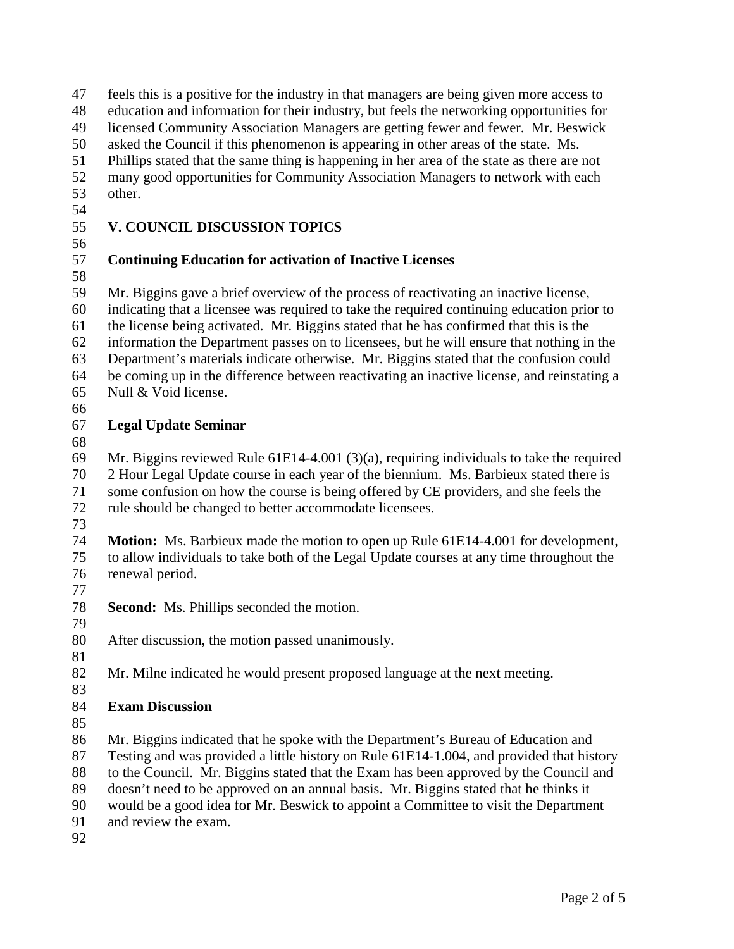| 47<br>48<br>49<br>50<br>51<br>52<br>53       | feels this is a positive for the industry in that managers are being given more access to<br>education and information for their industry, but feels the networking opportunities for<br>licensed Community Association Managers are getting fewer and fewer. Mr. Beswick<br>asked the Council if this phenomenon is appearing in other areas of the state. Ms.<br>Phillips stated that the same thing is happening in her area of the state as there are not<br>many good opportunities for Community Association Managers to network with each<br>other.                                 |
|----------------------------------------------|--------------------------------------------------------------------------------------------------------------------------------------------------------------------------------------------------------------------------------------------------------------------------------------------------------------------------------------------------------------------------------------------------------------------------------------------------------------------------------------------------------------------------------------------------------------------------------------------|
| 54                                           |                                                                                                                                                                                                                                                                                                                                                                                                                                                                                                                                                                                            |
| 55                                           | <b>V. COUNCIL DISCUSSION TOPICS</b>                                                                                                                                                                                                                                                                                                                                                                                                                                                                                                                                                        |
| 56<br>57<br>58                               | <b>Continuing Education for activation of Inactive Licenses</b>                                                                                                                                                                                                                                                                                                                                                                                                                                                                                                                            |
| 59<br>60<br>61<br>62<br>63<br>64<br>65<br>66 | Mr. Biggins gave a brief overview of the process of reactivating an inactive license,<br>indicating that a licensee was required to take the required continuing education prior to<br>the license being activated. Mr. Biggins stated that he has confirmed that this is the<br>information the Department passes on to licensees, but he will ensure that nothing in the<br>Department's materials indicate otherwise. Mr. Biggins stated that the confusion could<br>be coming up in the difference between reactivating an inactive license, and reinstating a<br>Null & Void license. |
| 67                                           | <b>Legal Update Seminar</b>                                                                                                                                                                                                                                                                                                                                                                                                                                                                                                                                                                |
| 68<br>69<br>70<br>71<br>72                   | Mr. Biggins reviewed Rule $61E14-4.001$ (3)(a), requiring individuals to take the required<br>2 Hour Legal Update course in each year of the biennium. Ms. Barbieux stated there is<br>some confusion on how the course is being offered by CE providers, and she feels the<br>rule should be changed to better accommodate licensees.                                                                                                                                                                                                                                                     |
| 73                                           |                                                                                                                                                                                                                                                                                                                                                                                                                                                                                                                                                                                            |
| 74<br>75<br>76<br>77                         | <b>Motion:</b> Ms. Barbieux made the motion to open up Rule 61E14-4.001 for development,<br>to allow individuals to take both of the Legal Update courses at any time throughout the<br>renewal period.                                                                                                                                                                                                                                                                                                                                                                                    |
| 78<br>79                                     | <b>Second:</b> Ms. Phillips seconded the motion.                                                                                                                                                                                                                                                                                                                                                                                                                                                                                                                                           |
| 80<br>81                                     | After discussion, the motion passed unanimously.                                                                                                                                                                                                                                                                                                                                                                                                                                                                                                                                           |
| 82<br>83                                     | Mr. Milne indicated he would present proposed language at the next meeting.                                                                                                                                                                                                                                                                                                                                                                                                                                                                                                                |
| 84<br>85                                     | <b>Exam Discussion</b>                                                                                                                                                                                                                                                                                                                                                                                                                                                                                                                                                                     |
| 86<br>87<br>88<br>89<br>90<br>91<br>92       | Mr. Biggins indicated that he spoke with the Department's Bureau of Education and<br>Testing and was provided a little history on Rule 61E14-1.004, and provided that history<br>to the Council. Mr. Biggins stated that the Exam has been approved by the Council and<br>doesn't need to be approved on an annual basis. Mr. Biggins stated that he thinks it<br>would be a good idea for Mr. Beswick to appoint a Committee to visit the Department<br>and review the exam.                                                                                                              |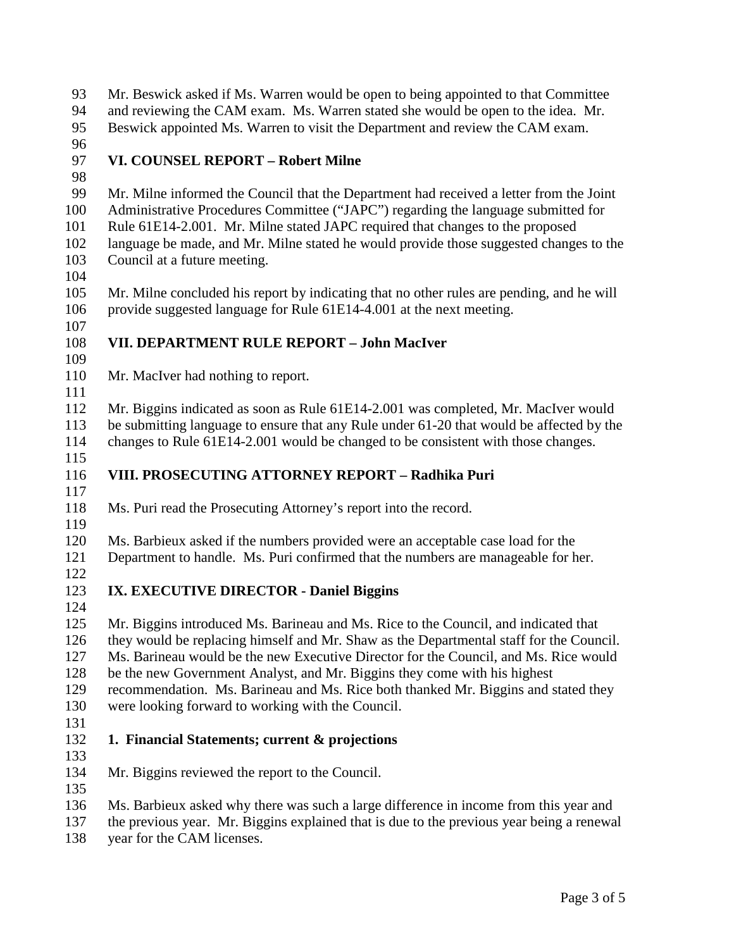Mr. Beswick asked if Ms. Warren would be open to being appointed to that Committee and reviewing the CAM exam. Ms. Warren stated she would be open to the idea. Mr. Beswick appointed Ms. Warren to visit the Department and review the CAM exam. **VI. COUNSEL REPORT – Robert Milne** Mr. Milne informed the Council that the Department had received a letter from the Joint Administrative Procedures Committee ("JAPC") regarding the language submitted for Rule 61E14-2.001. Mr. Milne stated JAPC required that changes to the proposed language be made, and Mr. Milne stated he would provide those suggested changes to the Council at a future meeting. Mr. Milne concluded his report by indicating that no other rules are pending, and he will provide suggested language for Rule 61E14-4.001 at the next meeting. **VII. DEPARTMENT RULE REPORT – John MacIver** 110 Mr. MacIver had nothing to report. Mr. Biggins indicated as soon as Rule 61E14-2.001 was completed, Mr. MacIver would be submitting language to ensure that any Rule under 61-20 that would be affected by the changes to Rule 61E14-2.001 would be changed to be consistent with those changes. **VIII. PROSECUTING ATTORNEY REPORT – Radhika Puri**  $\frac{117}{118}$ Ms. Puri read the Prosecuting Attorney's report into the record. Ms. Barbieux asked if the numbers provided were an acceptable case load for the Department to handle. Ms. Puri confirmed that the numbers are manageable for her. **IX. EXECUTIVE DIRECTOR - Daniel Biggins** Mr. Biggins introduced Ms. Barineau and Ms. Rice to the Council, and indicated that they would be replacing himself and Mr. Shaw as the Departmental staff for the Council. Ms. Barineau would be the new Executive Director for the Council, and Ms. Rice would be the new Government Analyst, and Mr. Biggins they come with his highest recommendation. Ms. Barineau and Ms. Rice both thanked Mr. Biggins and stated they were looking forward to working with the Council. **1. Financial Statements; current & projections** Mr. Biggins reviewed the report to the Council. Ms. Barbieux asked why there was such a large difference in income from this year and the previous year. Mr. Biggins explained that is due to the previous year being a renewal

year for the CAM licenses.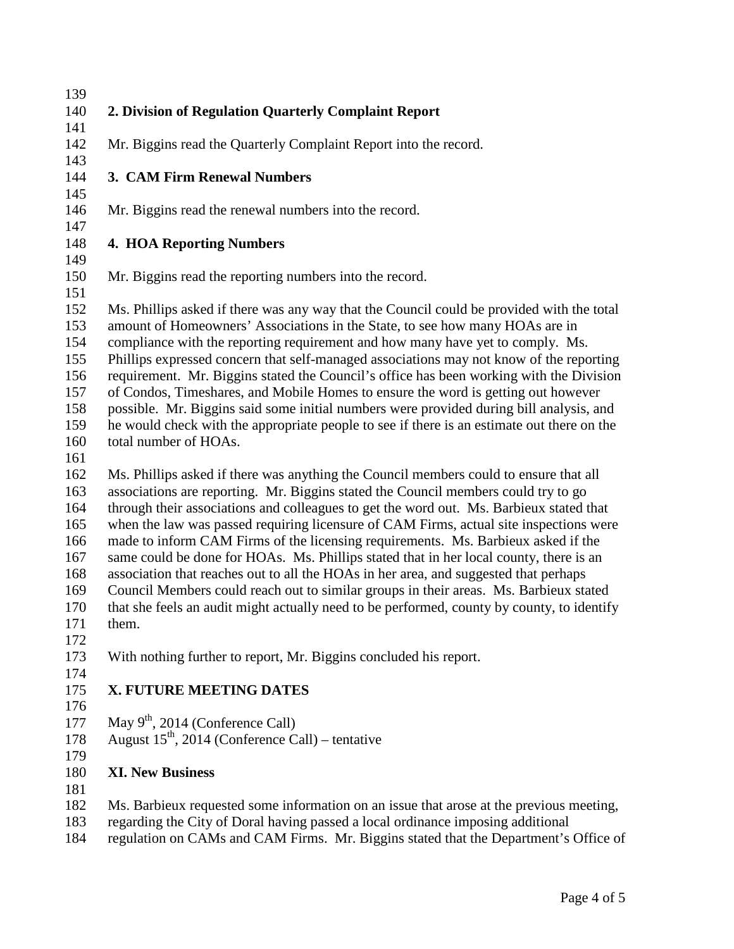**2. Division of Regulation Quarterly Complaint Report** Mr. Biggins read the Quarterly Complaint Report into the record. **3. CAM Firm Renewal Numbers** Mr. Biggins read the renewal numbers into the record. **4. HOA Reporting Numbers** Mr. Biggins read the reporting numbers into the record. Ms. Phillips asked if there was any way that the Council could be provided with the total amount of Homeowners' Associations in the State, to see how many HOAs are in compliance with the reporting requirement and how many have yet to comply. Ms. Phillips expressed concern that self-managed associations may not know of the reporting requirement. Mr. Biggins stated the Council's office has been working with the Division of Condos, Timeshares, and Mobile Homes to ensure the word is getting out however possible. Mr. Biggins said some initial numbers were provided during bill analysis, and he would check with the appropriate people to see if there is an estimate out there on the total number of HOAs. Ms. Phillips asked if there was anything the Council members could to ensure that all associations are reporting. Mr. Biggins stated the Council members could try to go through their associations and colleagues to get the word out. Ms. Barbieux stated that when the law was passed requiring licensure of CAM Firms, actual site inspections were made to inform CAM Firms of the licensing requirements. Ms. Barbieux asked if the same could be done for HOAs. Ms. Phillips stated that in her local county, there is an association that reaches out to all the HOAs in her area, and suggested that perhaps Council Members could reach out to similar groups in their areas. Ms. Barbieux stated that she feels an audit might actually need to be performed, county by county, to identify them. With nothing further to report, Mr. Biggins concluded his report. **X. FUTURE MEETING DATES**

- 
- 177 May  $9<sup>th</sup>$ , 2014 (Conference Call)
- 178 August  $15^{th}$ , 2014 (Conference Call) tentative
- 

## **XI. New Business**

- Ms. Barbieux requested some information on an issue that arose at the previous meeting,
- regarding the City of Doral having passed a local ordinance imposing additional
- regulation on CAMs and CAM Firms. Mr. Biggins stated that the Department's Office of